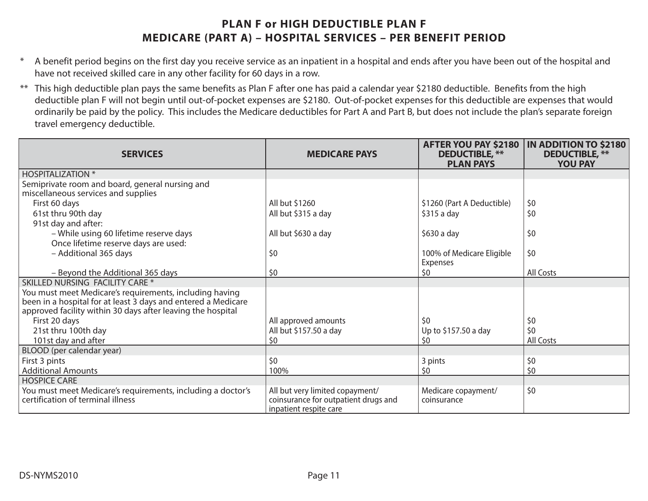## **PLAN F or HIGH DEDUCTIBLE PLAN FMEDICARE (PART A) – HOSPITAL SERVICES – PER BENEFIT PERIOD**

- \* A benefit period begins on the first day you receive service as an inpatient in a hospital and ends after you have been out of the hospital and have not received skilled care in any other facility for 60 days in a row.
- \*\* This high deductible plan pays the same benefits as Plan F after one has paid a calendar year \$2180 deductible. Benefits from the high deductible plan F will not begin until out-of-pocket expenses are \$2180. Out-of-pocket expenses for this deductible are expenses that would ordinarily be paid by the policy. This includes the Medicare deductibles for Part A and Part B, but does not include the plan's separate foreign travel emergency deductible.

| <b>SERVICES</b>                                                                                                                                                                         | <b>MEDICARE PAYS</b>                                                                              | AFTER YOU PAY \$2180<br><b>DEDUCTIBLE, **</b><br><b>PLAN PAYS</b> | <b>IN ADDITION TO \$2180</b><br><b>DEDUCTIBLE, **</b><br><b>YOU PAY</b> |
|-----------------------------------------------------------------------------------------------------------------------------------------------------------------------------------------|---------------------------------------------------------------------------------------------------|-------------------------------------------------------------------|-------------------------------------------------------------------------|
| <b>HOSPITALIZATION *</b>                                                                                                                                                                |                                                                                                   |                                                                   |                                                                         |
| Semiprivate room and board, general nursing and<br>miscellaneous services and supplies                                                                                                  |                                                                                                   |                                                                   |                                                                         |
| First 60 days                                                                                                                                                                           | All but \$1260                                                                                    | \$1260 (Part A Deductible)                                        | \$0                                                                     |
| 61st thru 90th day                                                                                                                                                                      | All but \$315 a day                                                                               | $$315a$ day                                                       | \$0                                                                     |
| 91st day and after:                                                                                                                                                                     |                                                                                                   |                                                                   |                                                                         |
| - While using 60 lifetime reserve days                                                                                                                                                  | All but \$630 a day                                                                               | \$630 a day                                                       | \$0                                                                     |
| Once lifetime reserve days are used:                                                                                                                                                    |                                                                                                   |                                                                   |                                                                         |
| - Additional 365 days                                                                                                                                                                   | \$0                                                                                               | 100% of Medicare Eligible<br><b>Expenses</b>                      | \$0                                                                     |
| - Beyond the Additional 365 days                                                                                                                                                        | \$0                                                                                               | \$0                                                               | <b>All Costs</b>                                                        |
| <b>SKILLED NURSING FACILITY CARE *</b>                                                                                                                                                  |                                                                                                   |                                                                   |                                                                         |
| You must meet Medicare's requirements, including having<br>been in a hospital for at least 3 days and entered a Medicare<br>approved facility within 30 days after leaving the hospital |                                                                                                   |                                                                   |                                                                         |
| First 20 days                                                                                                                                                                           | All approved amounts                                                                              | 50                                                                | \$0                                                                     |
| 21st thru 100th day                                                                                                                                                                     | All but \$157.50 a day                                                                            | Up to \$157.50 a day                                              | \$0                                                                     |
| 101st day and after                                                                                                                                                                     | \$0                                                                                               | \$0                                                               | All Costs                                                               |
| BLOOD (per calendar year)                                                                                                                                                               |                                                                                                   |                                                                   |                                                                         |
| First 3 pints                                                                                                                                                                           | \$0                                                                                               | 3 pints                                                           | \$0                                                                     |
| <b>Additional Amounts</b>                                                                                                                                                               | 100%                                                                                              | \$0                                                               | \$0                                                                     |
| <b>HOSPICE CARE</b>                                                                                                                                                                     |                                                                                                   |                                                                   |                                                                         |
| You must meet Medicare's requirements, including a doctor's<br>certification of terminal illness                                                                                        | All but very limited copayment/<br>coinsurance for outpatient drugs and<br>inpatient respite care | Medicare copayment/<br>coinsurance                                | \$0                                                                     |